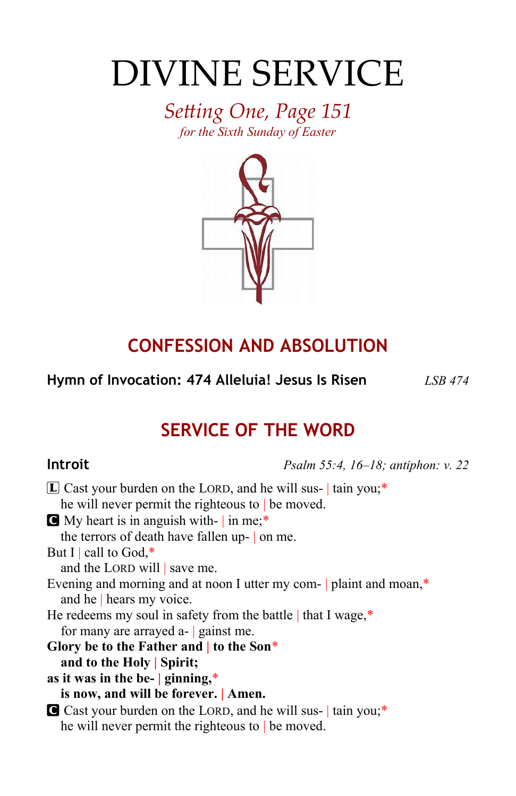# DIVINE SERVICE

*Setting One, Page 151 for the Sixth Sunday of Easter*



# **CONFESSION AND ABSOLUTION**

**Hymn of Invocation: 474 Alleluia! Jesus Is Risen** *LSB 474*

# **SERVICE OF THE WORD**

**Introit** *Psalm 55:4, 16–18; antiphon: v. 22*

| $[L]$ Cast your burden on the LORD, and he will sus- tain you;*     |
|---------------------------------------------------------------------|
| he will never permit the righteous to $\vert$ be moved.             |
| My heart is in anguish with- in me;*                                |
| the terrors of death have fallen up- on me.                         |
| But I   call to God,*                                               |
| and the LORD will   save me.                                        |
| Evening and morning and at noon I utter my com-   plaint and moan,* |
| and he   hears my voice.                                            |
| He redeems my soul in safety from the battle   that I wage,*        |
| for many are arrayed $a$ - gainst me.                               |
| Glory be to the Father and $\vert$ to the Son*                      |
| and to the Holy Spirit;                                             |
| as it was in the be- $ $ ginning,*                                  |
| is now, and will be forever.   Amen.                                |
| Cast your burden on the LORD, and he will sus-   tain you;*         |
| he will never permit the righteous to $\vert$ be moved.             |